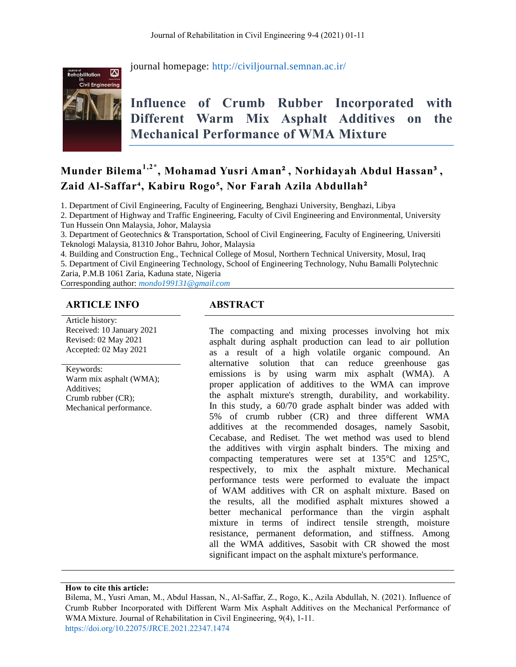

journal homepage:<http://civiljournal.semnan.ac.ir/>

# **Influence of Crumb Rubber Incorporated with Different Warm Mix Asphalt Additives on the Mechanical Performance of WMA Mixture**

# **Munder Bilema1,2\* , Mohamad Yusri Aman**²**, Norhidayah Abdul Hassan**³**, Zaid Al-Saffar⁴, Kabiru Rogo⁵, Nor Farah Azila Abdullah**²

1. Department of Civil Engineering, Faculty of Engineering, Benghazi University, Benghazi, Libya

2. Department of Highway and Traffic Engineering, Faculty of Civil Engineering and Environmental, University Tun Hussein Onn Malaysia, Johor, Malaysia

3. Department of Geotechnics & Transportation, School of Civil Engineering, Faculty of Engineering, Universiti Teknologi Malaysia, 81310 Johor Bahru, Johor, Malaysia

4. Building and Construction Eng., Technical College of Mosul, Northern Technical University, Mosul, Iraq 5. Department of Civil Engineering Technology, School of Engineering Technology, Nuhu Bamalli Polytechnic Zaria, P.M.B 1061 Zaria, Kaduna state, Nigeria

Corresponding author: *mondo199131@gmail.com*

#### **ARTICLE INFO ABSTRACT**

Article history: Received: 10 January 2021 Revised: 02 May 2021 Accepted: 02 May 2021

Keywords: Warm mix asphalt (WMA); Additives;

Crumb rubber (CR); Mechanical performance.

The compacting and mixing processes involving hot mix asphalt during asphalt production can lead to air pollution as a result of a high volatile organic compound. An alternative solution that can reduce greenhouse gas emissions is by using warm mix asphalt (WMA). A proper application of additives to the WMA can improve the asphalt mixture's strength, durability, and workability. In this study, a 60/70 grade asphalt binder was added with 5% of crumb rubber (CR) and three different WMA additives at the recommended dosages, namely Sasobit, Cecabase, and Rediset. The wet method was used to blend the additives with virgin asphalt binders. The mixing and compacting temperatures were set at 135°C and 125°C, respectively, to mix the asphalt mixture. Mechanical performance tests were performed to evaluate the impact of WAM additives with CR on asphalt mixture. Based on the results, all the modified asphalt mixtures showed a better mechanical performance than the virgin asphalt mixture in terms of indirect tensile strength, moisture resistance, permanent deformation, and stiffness. Among all the WMA additives, Sasobit with CR showed the most significant impact on the asphalt mixture's performance.

**How to cite this article:**

Bilema, M., Yusri Aman, M., Abdul Hassan, N., Al-Saffar, Z., Rogo, K., Azila Abdullah, N. (2021). Influence of Crumb Rubber Incorporated with Different Warm Mix Asphalt Additives on the Mechanical Performance of WMA Mixture. Journal of Rehabilitation in Civil Engineering, 9(4), 1-11. <https://doi.org/10.22075/JRCE.2021.22347.1474>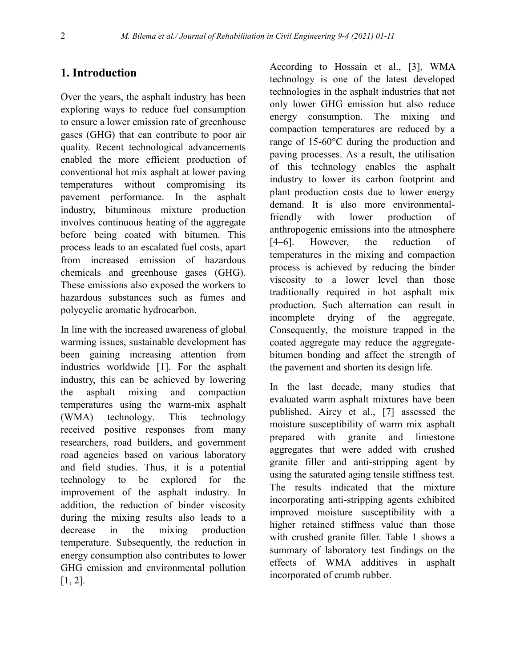#### **1. Introduction**

Over the years, the asphalt industry has been exploring ways to reduce fuel consumption to ensure a lower emission rate of greenhouse gases (GHG) that can contribute to poor air quality. Recent technological advancements enabled the more efficient production of conventional hot mix asphalt at lower paving temperatures without compromising its pavement performance. In the asphalt industry, bituminous mixture production involves continuous heating of the aggregate before being coated with bitumen. This process leads to an escalated fuel costs, apart from increased emission of hazardous chemicals and greenhouse gases (GHG). These emissions also exposed the workers to hazardous substances such as fumes and polycyclic aromatic hydrocarbon.

In line with the increased awareness of global warming issues, sustainable development has been gaining increasing attention from industries worldwide [1]. For the asphalt industry, this can be achieved by lowering the asphalt mixing and compaction temperatures using the warm-mix asphalt (WMA) technology. This technology received positive responses from many researchers, road builders, and government road agencies based on various laboratory and field studies. Thus, it is a potential technology to be explored for the improvement of the asphalt industry. In addition, the reduction of binder viscosity during the mixing results also leads to a decrease in the mixing production temperature. Subsequently, the reduction in energy consumption also contributes to lower GHG emission and environmental pollution [1, 2].

According to Hossain et al., [3], WMA technology is one of the latest developed technologies in the asphalt industries that not only lower GHG emission but also reduce energy consumption. The mixing and compaction temperatures are reduced by a range of 15-60°C during the production and paving processes. As a result, the utilisation of this technology enables the asphalt industry to lower its carbon footprint and plant production costs due to lower energy demand. It is also more environmentalfriendly with lower production of anthropogenic emissions into the atmosphere [4–6]. However, the reduction of temperatures in the mixing and compaction process is achieved by reducing the binder viscosity to a lower level than those traditionally required in hot asphalt mix production. Such alternation can result in incomplete drying of the aggregate. Consequently, the moisture trapped in the coated aggregate may reduce the aggregatebitumen bonding and affect the strength of the pavement and shorten its design life.

In the last decade, many studies that evaluated warm asphalt mixtures have been published. Airey et al., [7] assessed the moisture susceptibility of warm mix asphalt prepared with granite and limestone aggregates that were added with crushed granite filler and anti-stripping agent by using the saturated aging tensile stiffness test. The results indicated that the mixture incorporating anti-stripping agents exhibited improved moisture susceptibility with a higher retained stiffness value than those with crushed granite filler. Table 1 shows a summary of laboratory test findings on the effects of WMA additives in asphalt incorporated of crumb rubber.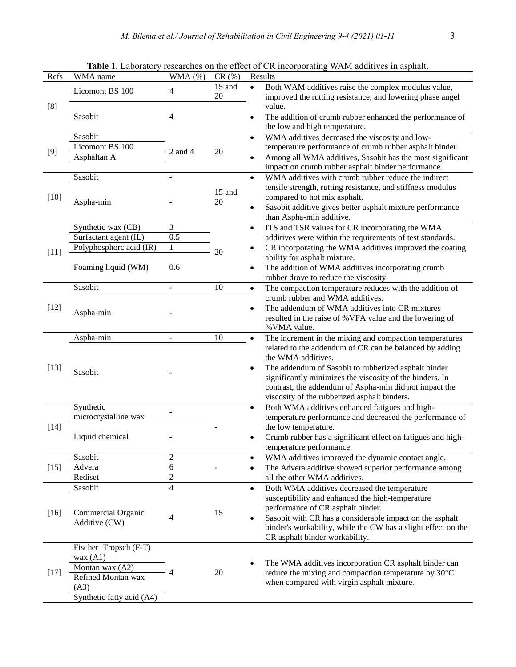| Refs   | WMA name                                    | WMA (%)                  | CR(%)        |           | Results                                                                                                          |  |
|--------|---------------------------------------------|--------------------------|--------------|-----------|------------------------------------------------------------------------------------------------------------------|--|
| [8]    | Licomont BS 100                             | 4                        | 15 and<br>20 |           | Both WAM additives raise the complex modulus value,<br>improved the rutting resistance, and lowering phase angel |  |
|        | Sasobit                                     | 4                        |              | $\bullet$ | value.<br>The addition of crumb rubber enhanced the performance of<br>the low and high temperature.              |  |
| $[9]$  | Sasobit                                     |                          | 20           | $\bullet$ | WMA additives decreased the viscosity and low-                                                                   |  |
|        | Licomont BS 100                             | 2 and 4                  |              |           | temperature performance of crumb rubber asphalt binder.                                                          |  |
|        | Asphaltan A                                 |                          |              |           | Among all WMA additives, Sasobit has the most significant                                                        |  |
|        |                                             |                          |              |           | impact on crumb rubber asphalt binder performance.                                                               |  |
| $[10]$ | Sasobit                                     |                          |              | $\bullet$ | WMA additives with crumb rubber reduce the indirect                                                              |  |
|        | Aspha-min                                   |                          | 15 and<br>20 |           | tensile strength, rutting resistance, and stiffness modulus                                                      |  |
|        |                                             |                          |              |           | compared to hot mix asphalt.                                                                                     |  |
|        |                                             |                          |              |           | Sasobit additive gives better asphalt mixture performance                                                        |  |
|        |                                             |                          |              |           | than Aspha-min additive.                                                                                         |  |
|        | Synthetic wax (CB)<br>Surfactant agent (IL) | 3<br>$\overline{0.5}$    |              | $\bullet$ | ITS and TSR values for CR incorporating the WMA                                                                  |  |
|        | Polyphosphorc acid (IR)                     | $\mathbf{1}$             |              |           | additives were within the requirements of test standards.                                                        |  |
| $[11]$ |                                             |                          | 20           | ٠         | CR incorporating the WMA additives improved the coating<br>ability for asphalt mixture.                          |  |
|        | Foaming liquid (WM)                         | 0.6                      |              | ٠         | The addition of WMA additives incorporating crumb                                                                |  |
|        |                                             |                          |              |           | rubber drove to reduce the viscosity.                                                                            |  |
|        | Sasobit                                     |                          | 10           | $\bullet$ | The compaction temperature reduces with the addition of                                                          |  |
|        | Aspha-min                                   |                          |              |           | crumb rubber and WMA additives.                                                                                  |  |
| $[12]$ |                                             |                          |              |           | The addendum of WMA additives into CR mixtures                                                                   |  |
|        |                                             |                          |              |           | resulted in the raise of %VFA value and the lowering of                                                          |  |
|        |                                             |                          |              |           | %VMA value.                                                                                                      |  |
|        | Aspha-min                                   |                          | 10           | $\bullet$ | The increment in the mixing and compaction temperatures                                                          |  |
|        | Sasobit                                     |                          |              |           | related to the addendum of CR can be balanced by adding                                                          |  |
|        |                                             |                          |              |           | the WMA additives.                                                                                               |  |
| $[13]$ |                                             |                          |              |           | The addendum of Sasobit to rubberized asphalt binder                                                             |  |
|        |                                             |                          |              |           | significantly minimizes the viscosity of the binders. In                                                         |  |
|        |                                             |                          |              |           | contrast, the addendum of Aspha-min did not impact the                                                           |  |
|        | Synthetic                                   |                          |              | $\bullet$ | viscosity of the rubberized asphalt binders.<br>Both WMA additives enhanced fatigues and high-                   |  |
|        | microcrystalline wax                        |                          |              |           | temperature performance and decreased the performance of                                                         |  |
| $[14]$ |                                             |                          |              |           | the low temperature.                                                                                             |  |
|        | Liquid chemical                             |                          |              |           | Crumb rubber has a significant effect on fatigues and high-                                                      |  |
|        |                                             |                          |              |           | temperature performance.                                                                                         |  |
|        | Sasobit                                     | $\overline{c}$           |              | ٠         | WMA additives improved the dynamic contact angle.                                                                |  |
| $[15]$ | Advera                                      | 6                        |              | ٠         | The Advera additive showed superior performance among                                                            |  |
|        | Rediset                                     | $\overline{c}$           |              |           | all the other WMA additives.                                                                                     |  |
|        | Sasobit                                     | 4                        |              | $\bullet$ | Both WMA additives decreased the temperature                                                                     |  |
|        | Commercial Organic                          |                          | 15           |           | susceptibility and enhanced the high-temperature                                                                 |  |
| $[16]$ |                                             |                          |              |           | performance of CR asphalt binder.                                                                                |  |
|        | Additive (CW)                               | 4                        |              | ٠         | Sasobit with CR has a considerable impact on the asphalt                                                         |  |
|        |                                             |                          |              |           | binder's workability, while the CW has a slight effect on the                                                    |  |
|        |                                             |                          |              |           | CR asphalt binder workability.                                                                                   |  |
| $[17]$ | Fischer-Tropsch (F-T)<br>wax $(A1)$         |                          |              |           |                                                                                                                  |  |
|        | Montan wax (A2)                             |                          |              |           | The WMA additives incorporation CR asphalt binder can                                                            |  |
|        | Refined Montan wax                          | $\boldsymbol{\varDelta}$ | 20           |           | reduce the mixing and compaction temperature by 30°C                                                             |  |
|        | (A3)                                        |                          |              |           | when compared with virgin asphalt mixture.                                                                       |  |
|        | Synthetic fatty acid (A4)                   |                          |              |           |                                                                                                                  |  |

**Table 1.** Laboratory researches on the effect of CR incorporating WAM additives in asphalt.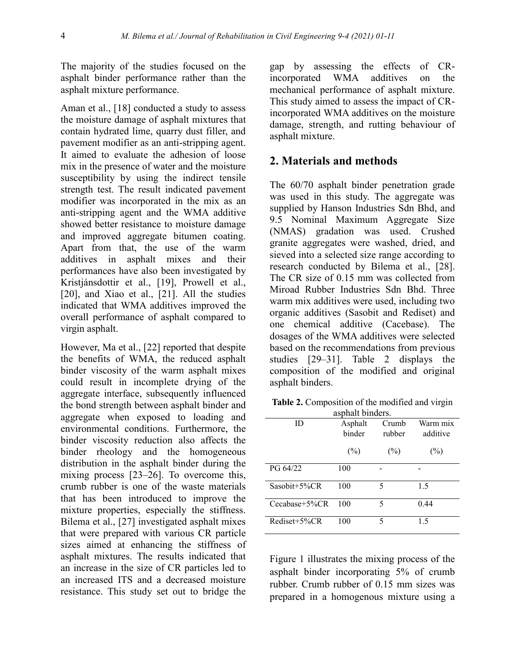The majority of the studies focused on the asphalt binder performance rather than the asphalt mixture performance.

Aman et al., [18] conducted a study to assess the moisture damage of asphalt mixtures that contain hydrated lime, quarry dust filler, and pavement modifier as an anti-stripping agent. It aimed to evaluate the adhesion of loose mix in the presence of water and the moisture susceptibility by using the indirect tensile strength test. The result indicated pavement modifier was incorporated in the mix as an anti-stripping agent and the WMA additive showed better resistance to moisture damage and improved aggregate bitumen coating. Apart from that, the use of the warm additives in asphalt mixes and their performances have also been investigated by Kristjánsdottir et al., [19], Prowell et al., [20], and Xiao et al., [21]. All the studies indicated that WMA additives improved the overall performance of asphalt compared to virgin asphalt.

However, Ma et al., [22] reported that despite the benefits of WMA, the reduced asphalt binder viscosity of the warm asphalt mixes could result in incomplete drying of the aggregate interface, subsequently influenced the bond strength between asphalt binder and aggregate when exposed to loading and environmental conditions. Furthermore, the binder viscosity reduction also affects the binder rheology and the homogeneous distribution in the asphalt binder during the mixing process [23–26]. To overcome this, crumb rubber is one of the waste materials that has been introduced to improve the mixture properties, especially the stiffness. Bilema et al., [27] investigated asphalt mixes that were prepared with various CR particle sizes aimed at enhancing the stiffness of asphalt mixtures. The results indicated that an increase in the size of CR particles led to an increased ITS and a decreased moisture resistance. This study set out to bridge the

gap by assessing the effects of CRincorporated WMA additives on the mechanical performance of asphalt mixture. This study aimed to assess the impact of CRincorporated WMA additives on the moisture damage, strength, and rutting behaviour of asphalt mixture.

#### **2. Materials and methods**

The 60/70 asphalt binder penetration grade was used in this study. The aggregate was supplied by Hanson Industries Sdn Bhd, and 9.5 Nominal Maximum Aggregate Size (NMAS) gradation was used. Crushed granite aggregates were washed, dried, and sieved into a selected size range according to research conducted by Bilema et al., [28]. The CR size of 0.15 mm was collected from Miroad Rubber Industries Sdn Bhd. Three warm mix additives were used, including two organic additives (Sasobit and Rediset) and one chemical additive (Cacebase). The dosages of the WMA additives were selected based on the recommendations from previous studies [29–31]. Table 2 displays the composition of the modified and original asphalt binders.

**Table 2.** Composition of the modified and virgin asphalt binders.

| asphare officials. |                   |                 |                      |  |  |  |  |
|--------------------|-------------------|-----------------|----------------------|--|--|--|--|
| ID                 | Asphalt<br>binder | Crumb<br>rubber | Warm mix<br>additive |  |  |  |  |
|                    | $(\%)$            | $(\%)$          | $(\%)$               |  |  |  |  |
| PG 64/22           | 100               |                 |                      |  |  |  |  |
| Sasobit $+5\%$ CR  | 100               | 5               | 1.5                  |  |  |  |  |
| $Cecabase+5\%CR$   | 100               | 5               | 0.44                 |  |  |  |  |
| Rediset+5%CR       | 100               | 5               | 1.5                  |  |  |  |  |

Figure 1 illustrates the mixing process of the asphalt binder incorporating 5% of crumb rubber. Crumb rubber of 0.15 mm sizes was prepared in a homogenous mixture using a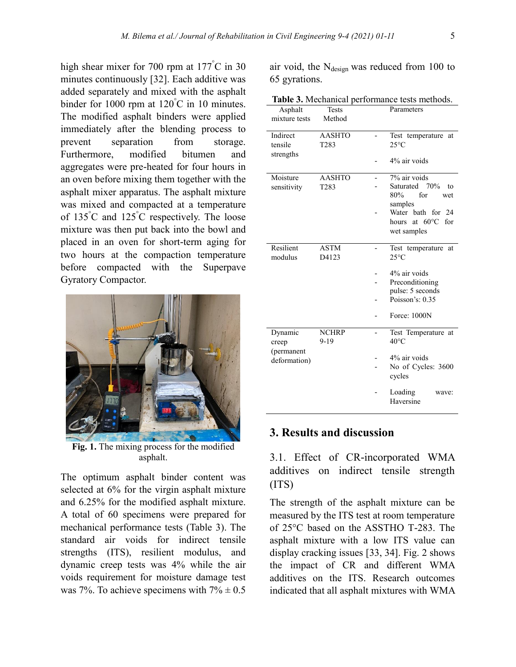high shear mixer for 700 rpm at 177<sup>°</sup>C in 30 minutes continuously [32]. Each additive was added separately and mixed with the asphalt binder for 1000 rpm at 120°C in 10 minutes. The modified asphalt binders were applied immediately after the blending process to prevent separation from storage. Furthermore, modified bitumen and aggregates were pre-heated for four hours in an oven before mixing them together with the asphalt mixer apparatus. The asphalt mixture was mixed and compacted at a temperature of 135°C and 125°C respectively. The loose mixture was then put back into the bowl and placed in an oven for short-term aging for two hours at the compaction temperature before compacted with the Superpave Gyratory Compactor.



**Fig. 1.** The mixing process for the modified asphalt.

The optimum asphalt binder content was selected at 6% for the virgin asphalt mixture and 6.25% for the modified asphalt mixture. A total of 60 specimens were prepared for mechanical performance tests (Table 3). The standard air voids for indirect tensile strengths (ITS), resilient modulus, and dynamic creep tests was 4% while the air voids requirement for moisture damage test was 7%. To achieve specimens with  $7\% \pm 0.5$ 

air void, the  $N_{\text{design}}$  was reduced from 100 to 65 gyrations.

**Table 3.** Mechanical performance tests methods.

| Asphalt<br>mixture tests | <b>Tests</b><br>Method |  | Parameters                               |
|--------------------------|------------------------|--|------------------------------------------|
| Indirect<br>tensile      | <b>AASHTO</b><br>T283  |  | Test temperature<br>at<br>$25^{\circ}$ C |
| strengths                |                        |  | 4% air voids                             |
| Moisture                 | <b>AASHTO</b>          |  | 7% air voids                             |
| sensitivity              | T <sub>283</sub>       |  | Saturated 70%<br>to                      |
|                          |                        |  | 80%<br>for<br>wet                        |
|                          |                        |  | samples<br>Water bath for<br>24          |
|                          |                        |  | at $60^{\circ}$ C<br>for<br>hours        |
|                          |                        |  | wet samples                              |
| Resilient                | <b>ASTM</b>            |  | Test temperature<br>at                   |
| modulus                  | D4123                  |  | $25^{\circ}$ C                           |
|                          |                        |  | 4% air voids                             |
|                          |                        |  | Preconditioning                          |
|                          |                        |  | pulse: 5 seconds                         |
|                          |                        |  | Poisson's: $0.35$                        |
|                          |                        |  | Force: 1000N                             |
| Dynamic                  | <b>NCHRP</b>           |  | Test Temperature at                      |
| creep                    | $9-19$                 |  | $40^{\circ}$ C                           |
| (permanent               |                        |  | 4% air voids                             |
| deformation)             |                        |  | No of Cycles: 3600<br>cycles             |
|                          |                        |  | Loading<br>wave:<br>Haversine            |
|                          |                        |  |                                          |

#### **3. Results and discussion**

3.1. Effect of CR-incorporated WMA additives on indirect tensile strength (ITS)

The strength of the asphalt mixture can be measured by the ITS test at room temperature of 25°C based on the ASSTHO T-283. The asphalt mixture with a low ITS value can display cracking issues [33, 34]. Fig. 2 shows the impact of CR and different WMA additives on the ITS. Research outcomes indicated that all asphalt mixtures with WMA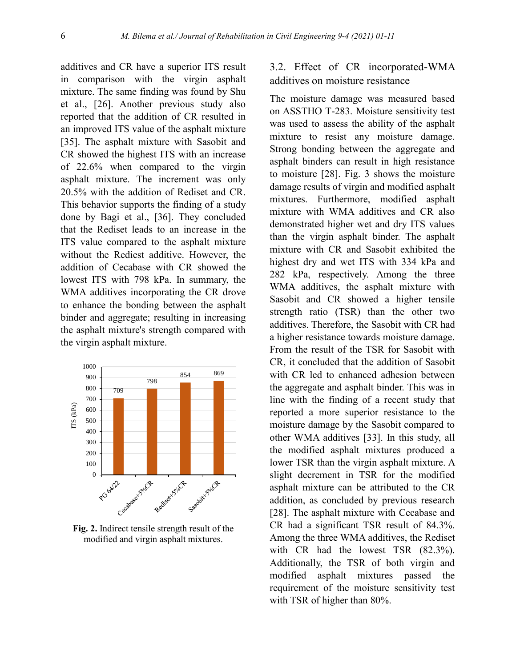additives and CR have a superior ITS result in comparison with the virgin asphalt mixture. The same finding was found by Shu et al., [26]. Another previous study also reported that the addition of CR resulted in an improved ITS value of the asphalt mixture [35]. The asphalt mixture with Sasobit and CR showed the highest ITS with an increase of 22.6% when compared to the virgin asphalt mixture. The increment was only 20.5% with the addition of Rediset and CR. This behavior supports the finding of a study done by Bagi et al., [36]. They concluded that the Rediset leads to an increase in the ITS value compared to the asphalt mixture without the Rediest additive. However, the addition of Cecabase with CR showed the lowest ITS with 798 kPa. In summary, the WMA additives incorporating the CR drove to enhance the bonding between the asphalt binder and aggregate; resulting in increasing the asphalt mixture's strength compared with the virgin asphalt mixture.



**Fig. 2.** Indirect tensile strength result of the modified and virgin asphalt mixtures.

# 3.2. Effect of CR incorporated-WMA additives on moisture resistance

The moisture damage was measured based on ASSTHO T-283. Moisture sensitivity test was used to assess the ability of the asphalt mixture to resist any moisture damage. Strong bonding between the aggregate and asphalt binders can result in high resistance to moisture [28]. Fig. 3 shows the moisture damage results of virgin and modified asphalt mixtures. Furthermore, modified asphalt mixture with WMA additives and CR also demonstrated higher wet and dry ITS values than the virgin asphalt binder. The asphalt mixture with CR and Sasobit exhibited the highest dry and wet ITS with 334 kPa and 282 kPa, respectively. Among the three WMA additives, the asphalt mixture with Sasobit and CR showed a higher tensile strength ratio (TSR) than the other two additives. Therefore, the Sasobit with CR had a higher resistance towards moisture damage. From the result of the TSR for Sasobit with CR, it concluded that the addition of Sasobit with CR led to enhanced adhesion between the aggregate and asphalt binder. This was in line with the finding of a recent study that reported a more superior resistance to the moisture damage by the Sasobit compared to other WMA additives [33]. In this study, all the modified asphalt mixtures produced a lower TSR than the virgin asphalt mixture. A slight decrement in TSR for the modified asphalt mixture can be attributed to the CR addition, as concluded by previous research [28]. The asphalt mixture with Cecabase and CR had a significant TSR result of 84.3%. Among the three WMA additives, the Rediset with CR had the lowest TSR (82.3%). Additionally, the TSR of both virgin and modified asphalt mixtures passed the requirement of the moisture sensitivity test with TSR of higher than 80%.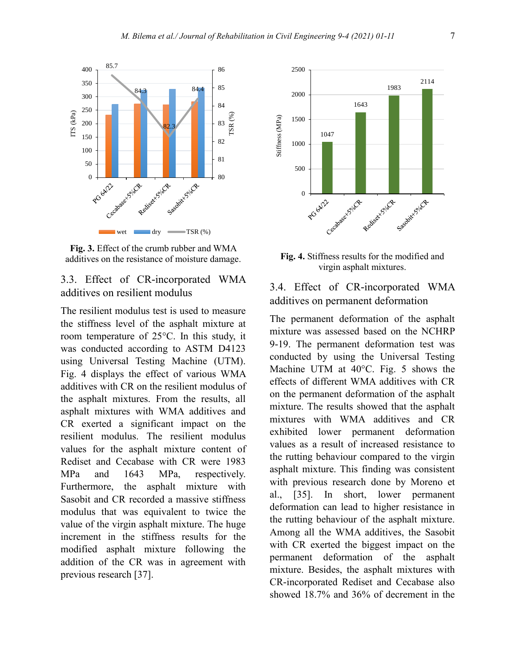

**Fig. 3.** Effect of the crumb rubber and WMA additives on the resistance of moisture damage.

# 3.3. Effect of CR-incorporated WMA additives on resilient modulus

The resilient modulus test is used to measure the stiffness level of the asphalt mixture at room temperature of 25°C. In this study, it was conducted according to ASTM D4123 using Universal Testing Machine (UTM). Fig. 4 displays the effect of various WMA additives with CR on the resilient modulus of the asphalt mixtures. From the results, all asphalt mixtures with WMA additives and CR exerted a significant impact on the resilient modulus. The resilient modulus values for the asphalt mixture content of Rediset and Cecabase with CR were 1983 MPa and 1643 MPa, respectively. Furthermore, the asphalt mixture with Sasobit and CR recorded a massive stiffness modulus that was equivalent to twice the value of the virgin asphalt mixture. The huge increment in the stiffness results for the modified asphalt mixture following the addition of the CR was in agreement with previous research [37].



**Fig. 4.** Stiffness results for the modified and virgin asphalt mixtures.

# 3.4. Effect of CR-incorporated WMA additives on permanent deformation

The permanent deformation of the asphalt mixture was assessed based on the NCHRP 9-19. The permanent deformation test was conducted by using the Universal Testing Machine UTM at 40°C. Fig. 5 shows the effects of different WMA additives with CR on the permanent deformation of the asphalt mixture. The results showed that the asphalt mixtures with WMA additives and CR exhibited lower permanent deformation values as a result of increased resistance to the rutting behaviour compared to the virgin asphalt mixture. This finding was consistent with previous research done by Moreno et al., [35]. In short, lower permanent deformation can lead to higher resistance in the rutting behaviour of the asphalt mixture. Among all the WMA additives, the Sasobit with CR exerted the biggest impact on the permanent deformation of the asphalt mixture. Besides, the asphalt mixtures with CR-incorporated Rediset and Cecabase also showed 18.7% and 36% of decrement in the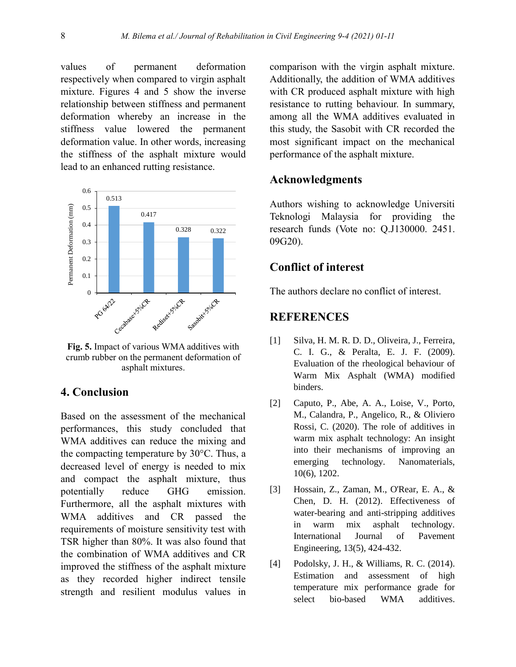values of permanent deformation respectively when compared to virgin asphalt mixture. Figures 4 and 5 show the inverse relationship between stiffness and permanent deformation whereby an increase in the stiffness value lowered the permanent deformation value. In other words, increasing the stiffness of the asphalt mixture would lead to an enhanced rutting resistance.



**Fig. 5.** Impact of various WMA additives with crumb rubber on the permanent deformation of asphalt mixtures.

## **4. Conclusion**

Based on the assessment of the mechanical performances, this study concluded that WMA additives can reduce the mixing and the compacting temperature by 30°C. Thus, a decreased level of energy is needed to mix and compact the asphalt mixture, thus potentially reduce GHG emission. Furthermore, all the asphalt mixtures with WMA additives and CR passed the requirements of moisture sensitivity test with TSR higher than 80%. It was also found that the combination of WMA additives and CR improved the stiffness of the asphalt mixture as they recorded higher indirect tensile strength and resilient modulus values in

comparison with the virgin asphalt mixture. Additionally, the addition of WMA additives with CR produced asphalt mixture with high resistance to rutting behaviour. In summary, among all the WMA additives evaluated in this study, the Sasobit with CR recorded the most significant impact on the mechanical performance of the asphalt mixture.

#### **Acknowledgments**

Authors wishing to acknowledge Universiti Teknologi Malaysia for providing the research funds (Vote no: Q.J130000. 2451. 09G20).

## **Conflict of interest**

The authors declare no conflict of interest.

### **REFERENCES**

- [1] Silva, H. M. R. D. D., Oliveira, J., Ferreira, C. I. G., & Peralta, E. J. F. (2009). Evaluation of the rheological behaviour of Warm Mix Asphalt (WMA) modified binders.
- [2] Caputo, P., Abe, A. A., Loise, V., Porto, M., Calandra, P., Angelico, R., & Oliviero Rossi, C. (2020). The role of additives in warm mix asphalt technology: An insight into their mechanisms of improving an emerging technology. Nanomaterials, 10(6), 1202.
- [3] Hossain, Z., Zaman, M., O'Rear, E. A., & Chen, D. H. (2012). Effectiveness of water-bearing and anti-stripping additives in warm mix asphalt technology. International Journal of Pavement Engineering, 13(5), 424-432.
- [4] Podolsky, J. H., & Williams, R. C. (2014). Estimation and assessment of high temperature mix performance grade for select bio-based WMA additives.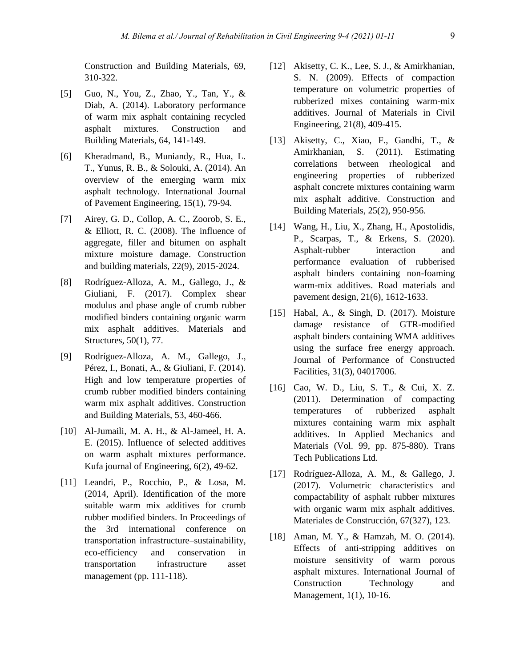Construction and Building Materials, 69, 310-322.

- [5] Guo, N., You, Z., Zhao, Y., Tan, Y., & Diab, A. (2014). Laboratory performance of warm mix asphalt containing recycled asphalt mixtures. Construction and Building Materials, 64, 141-149.
- [6] Kheradmand, B., Muniandy, R., Hua, L. T., Yunus, R. B., & Solouki, A. (2014). An overview of the emerging warm mix asphalt technology. International Journal of Pavement Engineering, 15(1), 79-94.
- [7] Airey, G. D., Collop, A. C., Zoorob, S. E.,  $&$  Elliott, R. C. (2008). The influence of aggregate, filler and bitumen on asphalt mixture moisture damage. Construction and building materials, 22(9), 2015-2024.
- [8] Rodríguez-Alloza, A. M., Gallego, J., & Giuliani, F. (2017). Complex shear modulus and phase angle of crumb rubber modified binders containing organic warm mix asphalt additives. Materials and Structures, 50(1), 77.
- [9] Rodríguez-Alloza, A. M., Gallego, J., Pérez, I., Bonati, A., & Giuliani, F. (2014). High and low temperature properties of crumb rubber modified binders containing warm mix asphalt additives. Construction and Building Materials, 53, 460-466.
- [10] Al-Jumaili, M. A. H., & Al-Jameel, H. A. E. (2015). Influence of selected additives on warm asphalt mixtures performance. Kufa journal of Engineering, 6(2), 49-62.
- [11] Leandri, P., Rocchio, P., & Losa, M. (2014, April). Identification of the more suitable warm mix additives for crumb rubber modified binders. In Proceedings of the 3rd international conference on transportation infrastructure–sustainability, eco-efficiency and conservation in transportation infrastructure asset management (pp. 111-118).
- [12] Akisetty, C. K., Lee, S. J., & Amirkhanian, S. N. (2009). Effects of compaction temperature on volumetric properties of rubberized mixes containing warm-mix additives. Journal of Materials in Civil Engineering, 21(8), 409-415.
- [13] Akisetty, C., Xiao, F., Gandhi, T., & Amirkhanian, S. (2011). Estimating correlations between rheological and engineering properties of rubberized asphalt concrete mixtures containing warm mix asphalt additive. Construction and Building Materials, 25(2), 950-956.
- [14] Wang, H., Liu, X., Zhang, H., Apostolidis, P., Scarpas, T., & Erkens, S. (2020). Asphalt-rubber interaction and performance evaluation of rubberised asphalt binders containing non-foaming warm-mix additives. Road materials and pavement design, 21(6), 1612-1633.
- [15] Habal, A., & Singh, D. (2017). Moisture damage resistance of GTR-modified asphalt binders containing WMA additives using the surface free energy approach. Journal of Performance of Constructed Facilities, 31(3), 04017006.
- [16] Cao, W. D., Liu, S. T., & Cui, X. Z. (2011). Determination of compacting temperatures of rubberized asphalt mixtures containing warm mix asphalt additives. In Applied Mechanics and Materials (Vol. 99, pp. 875-880). Trans Tech Publications Ltd.
- [17] Rodríguez-Alloza, A. M., & Gallego, J. (2017). Volumetric characteristics and compactability of asphalt rubber mixtures with organic warm mix asphalt additives. Materiales de Construcción, 67(327), 123.
- [18] Aman, M. Y., & Hamzah, M. O. (2014). Effects of anti-stripping additives on moisture sensitivity of warm porous asphalt mixtures. International Journal of Construction Technology and Management, 1(1), 10-16.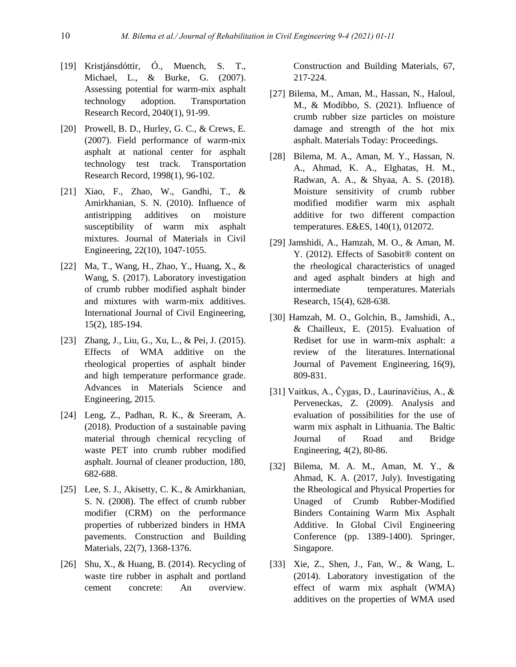- [19] Kristjánsdóttir, Ó., Muench, S. T., Michael, L., & Burke, G. (2007). Assessing potential for warm-mix asphalt technology adoption. Transportation Research Record, 2040(1), 91-99.
- [20] Prowell, B. D., Hurley, G. C., & Crews, E. (2007). Field performance of warm-mix asphalt at national center for asphalt technology test track. Transportation Research Record, 1998(1), 96-102.
- [21] Xiao, F., Zhao, W., Gandhi, T., & Amirkhanian, S. N. (2010). Influence of antistripping additives on moisture susceptibility of warm mix asphalt mixtures. Journal of Materials in Civil Engineering, 22(10), 1047-1055.
- [22] Ma, T., Wang, H., Zhao, Y., Huang, X., & Wang, S. (2017). Laboratory investigation of crumb rubber modified asphalt binder and mixtures with warm-mix additives. International Journal of Civil Engineering, 15(2), 185-194.
- [23] Zhang, J., Liu, G., Xu, L., & Pei, J. (2015). Effects of WMA additive on the rheological properties of asphalt binder and high temperature performance grade. Advances in Materials Science and Engineering, 2015.
- [24] Leng, Z., Padhan, R. K., & Sreeram, A. (2018). Production of a sustainable paving material through chemical recycling of waste PET into crumb rubber modified asphalt. Journal of cleaner production, 180, 682-688.
- [25] Lee, S. J., Akisetty, C. K., & Amirkhanian, S. N. (2008). The effect of crumb rubber modifier (CRM) on the performance properties of rubberized binders in HMA pavements. Construction and Building Materials, 22(7), 1368-1376.
- [26] Shu, X., & Huang, B. (2014). Recycling of waste tire rubber in asphalt and portland cement concrete: An overview.

Construction and Building Materials, 67, 217-224.

- [27] Bilema, M., Aman, M., Hassan, N., Haloul, M., & Modibbo, S. (2021). Influence of crumb rubber size particles on moisture damage and strength of the hot mix asphalt. Materials Today: Proceedings.
- [28] Bilema, M. A., Aman, M. Y., Hassan, N. A., Ahmad, K. A., Elghatas, H. M., Radwan, A. A., & Shyaa, A. S. (2018). Moisture sensitivity of crumb rubber modified modifier warm mix asphalt additive for two different compaction temperatures. E&ES, 140(1), 012072.
- [29] Jamshidi, A., Hamzah, M. O., & Aman, M. Y. (2012). Effects of Sasobit® content on the rheological characteristics of unaged and aged asphalt binders at high and intermediate temperatures. Materials Research, 15(4), 628-638.
- [30] Hamzah, M. O., Golchin, B., Jamshidi, A., & Chailleux, E. (2015). Evaluation of Rediset for use in warm-mix asphalt: a review of the literatures. International Journal of Pavement Engineering, 16(9), 809-831.
- [31] Vaitkus, A., Čygas, D., Laurinavičius, A., & Perveneckas, Z. (2009). Analysis and evaluation of possibilities for the use of warm mix asphalt in Lithuania. The Baltic Journal of Road and Bridge Engineering, 4(2), 80-86.
- [32] Bilema, M. A. M., Aman, M. Y., & Ahmad, K. A. (2017, July). Investigating the Rheological and Physical Properties for Unaged of Crumb Rubber-Modified Binders Containing Warm Mix Asphalt Additive. In Global Civil Engineering Conference (pp. 1389-1400). Springer, Singapore.
- [33] Xie, Z., Shen, J., Fan, W., & Wang, L. (2014). Laboratory investigation of the effect of warm mix asphalt (WMA) additives on the properties of WMA used